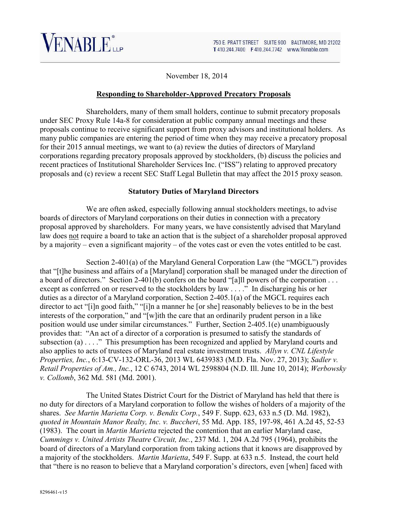

November 18, 2014

#### **Responding to Shareholder-Approved Precatory Proposals**

Shareholders, many of them small holders, continue to submit precatory proposals under SEC Proxy Rule 14a-8 for consideration at public company annual meetings and these proposals continue to receive significant support from proxy advisors and institutional holders. As many public companies are entering the period of time when they may receive a precatory proposal for their 2015 annual meetings, we want to (a) review the duties of directors of Maryland corporations regarding precatory proposals approved by stockholders, (b) discuss the policies and recent practices of Institutional Shareholder Services Inc. ("ISS") relating to approved precatory proposals and (c) review a recent SEC Staff Legal Bulletin that may affect the 2015 proxy season.

#### **Statutory Duties of Maryland Directors**

We are often asked, especially following annual stockholders meetings, to advise boards of directors of Maryland corporations on their duties in connection with a precatory proposal approved by shareholders. For many years, we have consistently advised that Maryland law does not require a board to take an action that is the subject of a shareholder proposal approved by a majority – even a significant majority – of the votes cast or even the votes entitled to be cast.

Section 2-401(a) of the Maryland General Corporation Law (the "MGCL") provides that "[t]he business and affairs of a [Maryland] corporation shall be managed under the direction of a board of directors." Section 2-401(b) confers on the board "[a]ll powers of the corporation . . . except as conferred on or reserved to the stockholders by law . . . ." In discharging his or her duties as a director of a Maryland corporation, Section 2-405.1(a) of the MGCL requires each director to act "[i]n good faith," "[i]n a manner he [or she] reasonably believes to be in the best interests of the corporation," and "[w]ith the care that an ordinarily prudent person in a like position would use under similar circumstances." Further, Section 2-405.1(e) unambiguously provides that: "An act of a director of a corporation is presumed to satisfy the standards of subsection (a) . . . ." This presumption has been recognized and applied by Maryland courts and also applies to acts of trustees of Maryland real estate investment trusts. *Allyn v. CNL Lifestyle Properties, Inc.*, 6:13-CV-132-ORL-36, 2013 WL 6439383 (M.D. Fla. Nov. 27, 2013); *Sadler v. Retail Properties of Am., Inc.*, 12 C 6743, 2014 WL 2598804 (N.D. Ill. June 10, 2014); *Werbowsky v. Collomb*, 362 Md. 581 (Md. 2001).

The United States District Court for the District of Maryland has held that there is no duty for directors of a Maryland corporation to follow the wishes of holders of a majority of the shares. *See Martin Marietta Corp. v. Bendix Corp.*, 549 F. Supp. 623, 633 n.5 (D. Md. 1982), *quoted in Mountain Manor Realty, Inc. v. Buccheri*, 55 Md. App. 185, 197-98, 461 A.2d 45, 52-53 (1983). The court in *Martin Marietta* rejected the contention that an earlier Maryland case, *Cummings v. United Artists Theatre Circuit, Inc.*, 237 Md. 1, 204 A.2d 795 (1964), prohibits the board of directors of a Maryland corporation from taking actions that it knows are disapproved by a majority of the stockholders. *Martin Marietta*, 549 F. Supp. at 633 n.5. Instead, the court held that "there is no reason to believe that a Maryland corporation's directors, even [when] faced with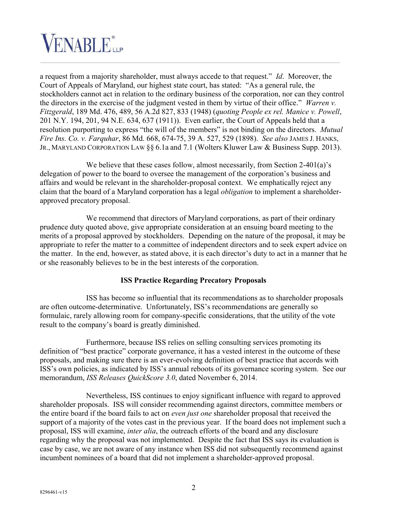

a request from a majority shareholder, must always accede to that request." *Id*.Moreover, the Court of Appeals of Maryland, our highest state court, has stated: "As a general rule, the stockholders cannot act in relation to the ordinary business of the corporation, nor can they control the directors in the exercise of the judgment vested in them by virtue of their office." *Warren v. Fitzgerald*, 189 Md. 476, 489, 56 A.2d 827, 833 (1948) (*quoting People ex rel. Manice v. Powell*, 201 N.Y. 194, 201, 94 N.E. 634, 637 (1911)). Even earlier, the Court of Appeals held that a resolution purporting to express "the will of the members" is not binding on the directors. *Mutual Fire Ins. Co. v. Farquhar*, 86 Md. 668, 674-75, 39 A. 527, 529 (1898). *See also* JAMES J. HANKS, JR., MARYLAND CORPORATION LAW §§ 6.1a and 7.1 (Wolters Kluwer Law & Business Supp. 2013).

We believe that these cases follow, almost necessarily, from Section 2-401(a)'s delegation of power to the board to oversee the management of the corporation's business and affairs and would be relevant in the shareholder-proposal context. We emphatically reject any claim that the board of a Maryland corporation has a legal *obligation* to implement a shareholderapproved precatory proposal.

We recommend that directors of Maryland corporations, as part of their ordinary prudence duty quoted above, give appropriate consideration at an ensuing board meeting to the merits of a proposal approved by stockholders. Depending on the nature of the proposal, it may be appropriate to refer the matter to a committee of independent directors and to seek expert advice on the matter. In the end, however, as stated above, it is each director's duty to act in a manner that he or she reasonably believes to be in the best interests of the corporation.

## **ISS Practice Regarding Precatory Proposals**

ISS has become so influential that its recommendations as to shareholder proposals are often outcome-determinative. Unfortunately, ISS's recommendations are generally so formulaic, rarely allowing room for company-specific considerations, that the utility of the vote result to the company's board is greatly diminished.

Furthermore, because ISS relies on selling consulting services promoting its definition of "best practice" corporate governance, it has a vested interest in the outcome of these proposals, and making sure there is an ever-evolving definition of best practice that accords with ISS's own policies, as indicated by ISS's annual reboots of its governance scoring system. See our memorandum, *ISS Releases QuickScore 3.0*, dated November 6, 2014.

Nevertheless, ISS continues to enjoy significant influence with regard to approved shareholder proposals. ISS will consider recommending against directors, committee members or the entire board if the board fails to act on *even just one* shareholder proposal that received the support of a majority of the votes cast in the previous year. If the board does not implement such a proposal, ISS will examine, *inter alia*, the outreach efforts of the board and any disclosure regarding why the proposal was not implemented. Despite the fact that ISS says its evaluation is case by case, we are not aware of any instance when ISS did not subsequently recommend against incumbent nominees of a board that did not implement a shareholder-approved proposal.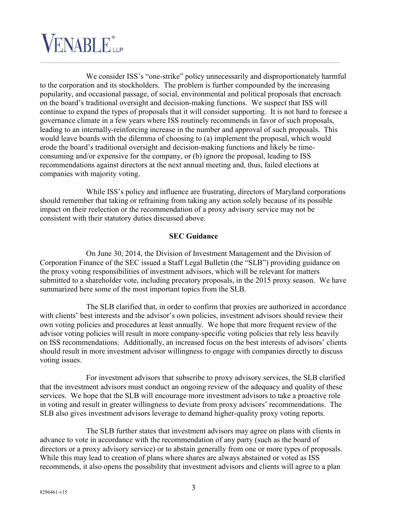

We consider ISS's "one-strike" policy unnecessarily and disproportionately harmful to the corporation and its stockholders. The problem is further compounded by the increasing popularity, and occasional passage, of social, environmental and political proposals that encroach on the board's traditional oversight and decision-making functions. We suspect that ISS will continue to expand the types of proposals that it will consider supporting. It is not hard to foresee a governance climate in a few years where ISS routinely recommends in favor of such proposals, leading to an internally-reinforcing increase in the number and approval of such proposals. This would leave boards with the dilemma of choosing to (a) implement the proposal, which would erode the board's traditional oversight and decision-making functions and likely be timeconsuming and/or expensive for the company, or (b) ignore the proposal, leading to ISS recommendations against directors at the next annual meeting and, thus, failed elections at companies with majority voting.

While ISS's policy and influence are frustrating, directors of Maryland corporations should remember that taking or refraining from taking any action solely because of its possible impact on their reelection or the recommendation of a proxy advisory service may not be consistent with their statutory duties discussed above.

## **SEC Guidance**

On June 30, 2014, the Division of Investment Management and the Division of Corporation Finance of the SEC issued a Staff Legal Bulletin (the "SLB") providing guidance on the proxy voting responsibilities of investment advisors, which will be relevant for matters submitted to a shareholder vote, including precatory proposals, in the 2015 proxy season. We have summarized here some of the most important topics from the SLB.

The SLB clarified that, in order to confirm that proxies are authorized in accordance with clients' best interests and the advisor's own policies, investment advisors should review their own voting policies and procedures at least annually. We hope that more frequent review of the advisor voting policies will result in more company-specific voting policies that rely less heavily on ISS recommendations. Additionally, an increased focus on the best interests of advisors' clients should result in more investment advisor willingness to engage with companies directly to discuss voting issues.

For investment advisors that subscribe to proxy advisory services, the SLB clarified that the investment advisors must conduct an ongoing review of the adequacy and quality of these services. We hope that the SLB will encourage more investment advisors to take a proactive role in voting and result in greater willingness to deviate from proxy advisors' recommendations. The SLB also gives investment advisors leverage to demand higher-quality proxy voting reports.

The SLB further states that investment advisors may agree on plans with clients in advance to vote in accordance with the recommendation of any party (such as the board of directors or a proxy advisory service) or to abstain generally from one or more types of proposals. While this may lead to creation of plans where shares are always abstained or voted as ISS recommends, it also opens the possibility that investment advisors and clients will agree to a plan